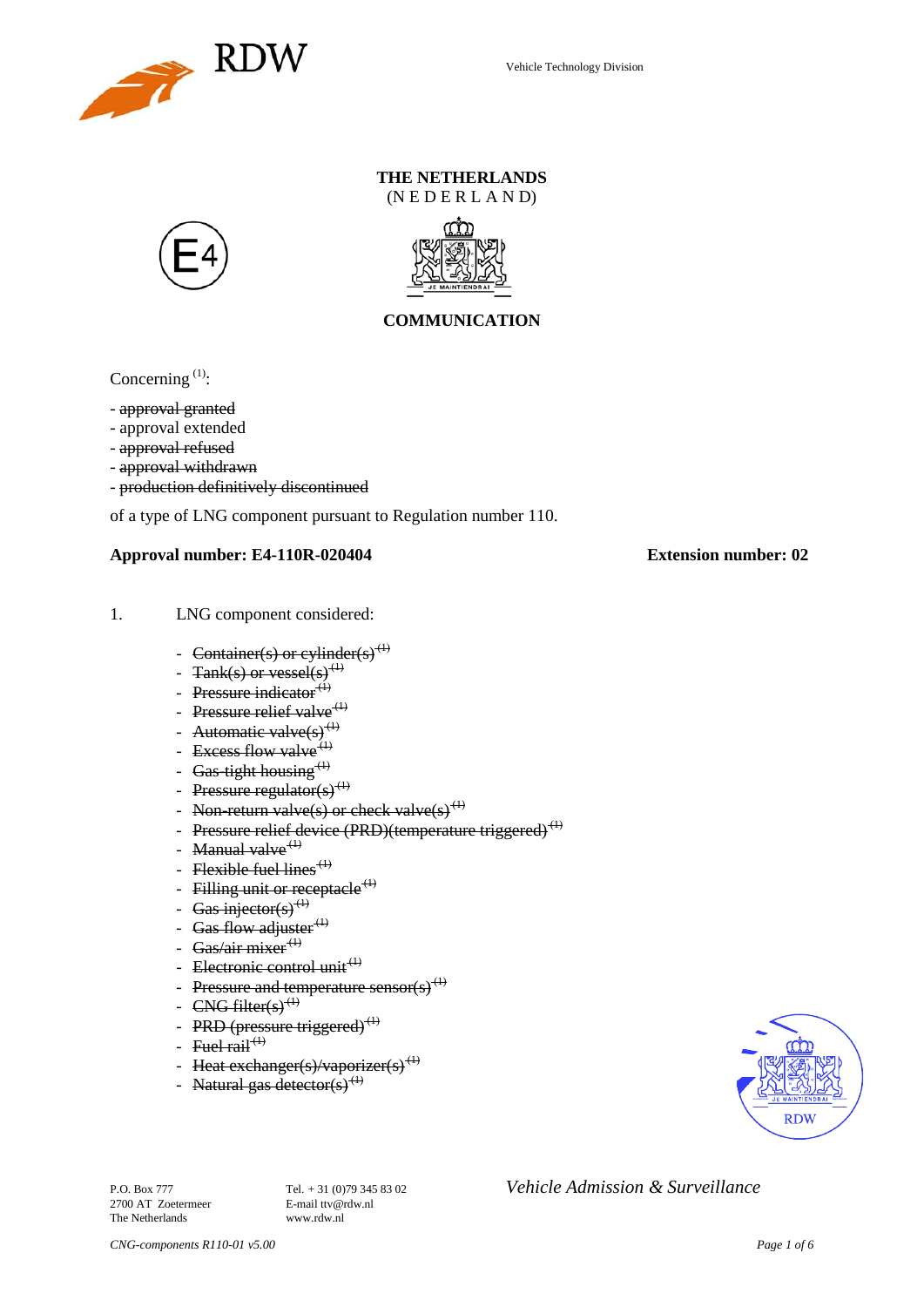

# **THE NETHERLANDS**

(N E D E R L A N D)





## **COMMUNICATION**

Concerning<sup>[\(1\)](#page-2-0)</sup>:

- approval granted
- approval extended
- approval refused
- approval withdrawn
- production definitively discontinued

of a type of LNG component pursuant to Regulation number 110.

#### **Approval number: E4-110R-020404 Extension number: 02**

- 1. LNG component considered:
	- Container(s) or cylinder(s)<sup>(1)</sup>
	- Tank(s) or vessel(s)<sup>(1)</sup>
	- Pressure indicator $^{(4)}$
	- Pressure relief valve<sup>(1)</sup>
	- Automatic valve $(s)^{(1)}$
	- Excess flow valve  $(1)$
	- Gas-tight housing  $<sup>(1)</sup>$ </sup>
	- Pressure regulator(s)<sup>(1)</sup>
	- Non-return valve(s) or check valve(s)<sup>(1)</sup>
	- Pressure relief device (PRD)(temperature triggered)<sup>(1)</sup>
	- Manual valve $<sup>(1)</sup>$ </sup>
	- Flexible fuel lines<sup> $(1)$ </sup>
	- Filling unit or receptacle<sup> $(1)$ </sup>
	- Gas injector(s)<sup>(1)</sup>
	- Gas flow adjuster $<sup>(1)</sup>$ </sup>
	- Gas/air mixer $\overset{(+)}{ }$
	- Electronic control unit<sup>(1)</sup>
	- Pressure and temperature sensor(s)<sup>(1)</sup>
	- $CNG$  filter(s)<sup>(1)</sup>
	- PRD (pressure triggered) $^{(1)}$
	- Fuel rail<sup> $(1)$ </sup>
	- Heat exchanger(s)/vaporizer(s)<sup>(1)</sup>
	- Natural gas detector(s)<sup>(1)</sup>



2700 AT Zoetermeer The Netherlands www.rdw.nl

P.O. Box 777 **Tel.** + 31 (0)79 345 83 02 *Vehicle Admission & Surveillance*<br>2700 AT Zoetermeer **E-mail** ttv@rdw.nl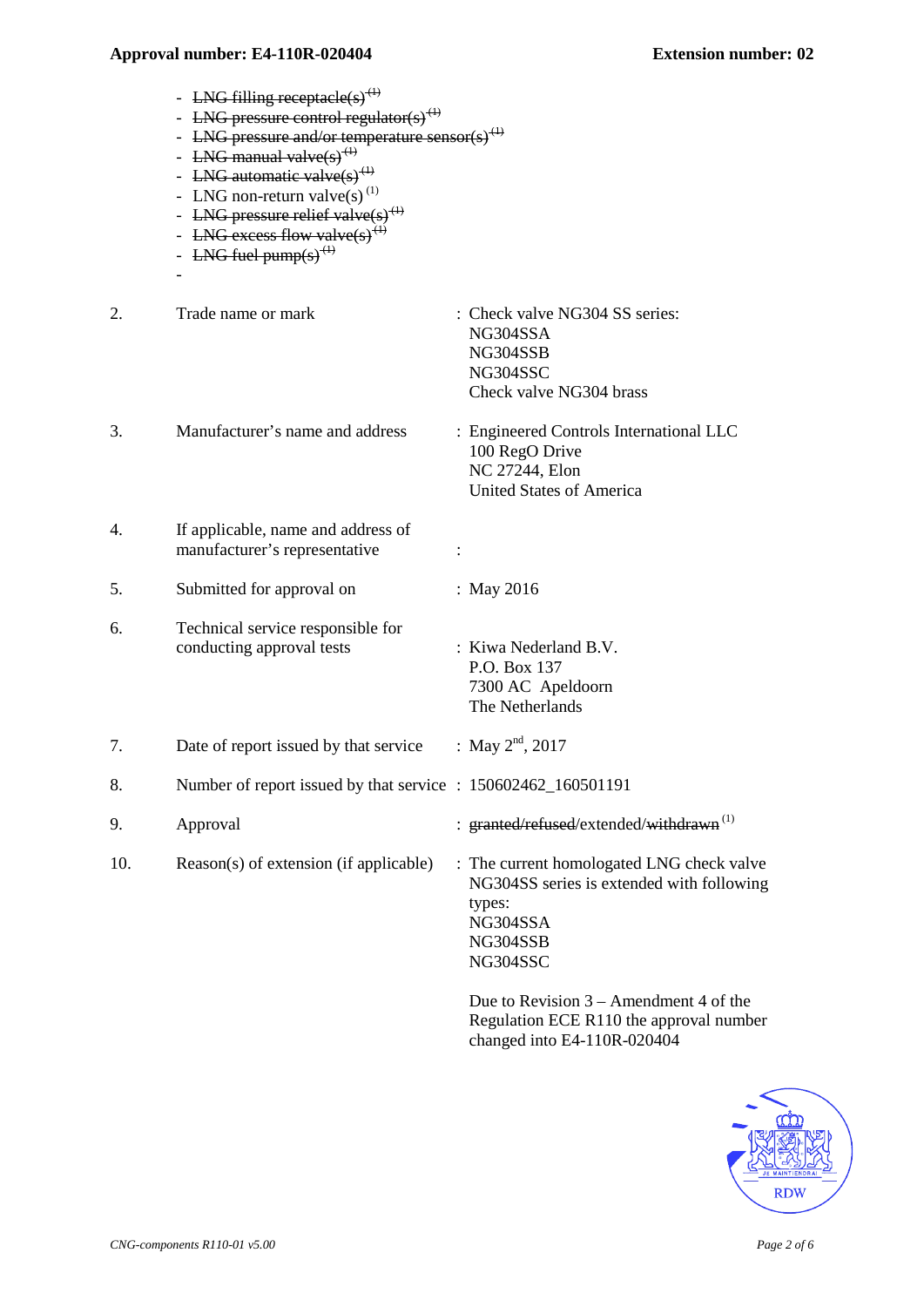- LNG filling receptacle(s)<sup>(1)</sup>
- LNG pressure control regulator(s)<sup>(1)</sup>
- LNG pressure and/or temperature sensor(s)<sup>(1)</sup>
- LNG manual valve $(s)^{(1)}$
- LNG automatic valve(s)<sup>(1)</sup>
- LNG non-return valve(s) $^{(1)}$
- LNG pressure relief valve $(s)$ <sup>(1)</sup>
- LNG excess flow valve(s)
- LNG fuel pump(s)<sup>(1)</sup>
- -
- 2. Trade name or mark : Check valve NG304 SS series: NG304SSA NG304SSB NG304SSC Check valve NG304 brass 3. Manufacturer's name and address : Engineered Controls International LLC 100 RegO Drive NC 27244, Elon United States of America 4. If applicable, name and address of manufacturer's representative : 5. Submitted for approval on : May 2016 6. Technical service responsible for conducting approval tests : Kiwa Nederland B.V. P.O. Box 137 7300 AC Apeldoorn The Netherlands 7. Date of report issued by that service : May  $2<sup>nd</sup>$ , 2017
- 8. Number of report issued by that service : 150602462 160501191
- 9. Approval : granted/refused/extended/withdrawn<sup>(1)</sup>
- 10. Reason(s) of extension (if applicable) : The current homologated LNG check valve

NG304SS series is extended with following types: NG304SSA NG304SSB NG304SSC

Due to Revision 3 – Amendment 4 of the Regulation ECE R110 the approval number changed into E4-110R-020404

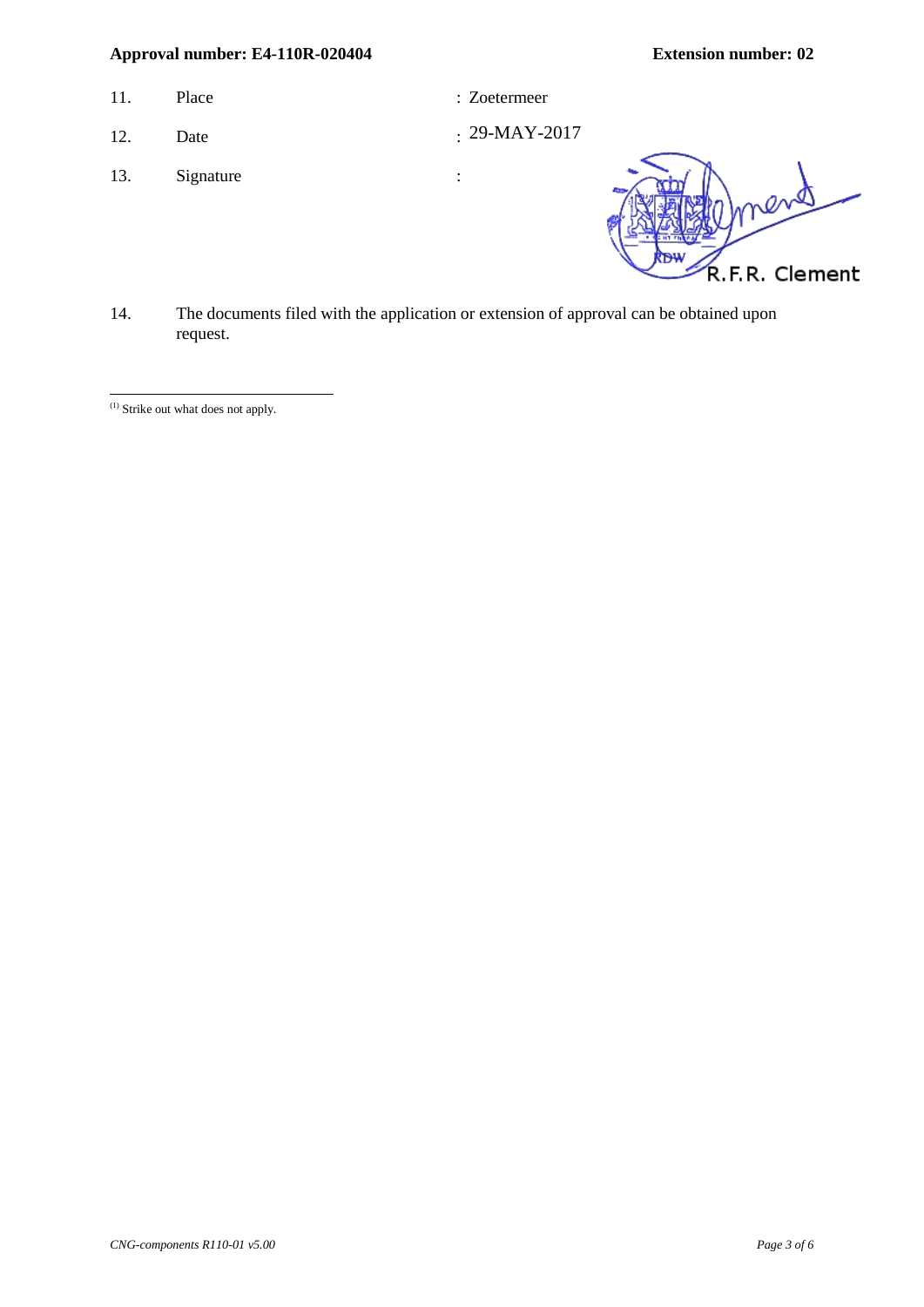- 11. Place : Zoetermeer : 2011.
	-
- 12. Date
- 13. Signature :

 $: 29-MAY-2017$ 

R.F.R. Clement

14. The documents filed with the application or extension of approval can be obtained upon request.

<span id="page-2-0"></span><sup>&</sup>lt;sup>(1)</sup> Strike out what does not apply. -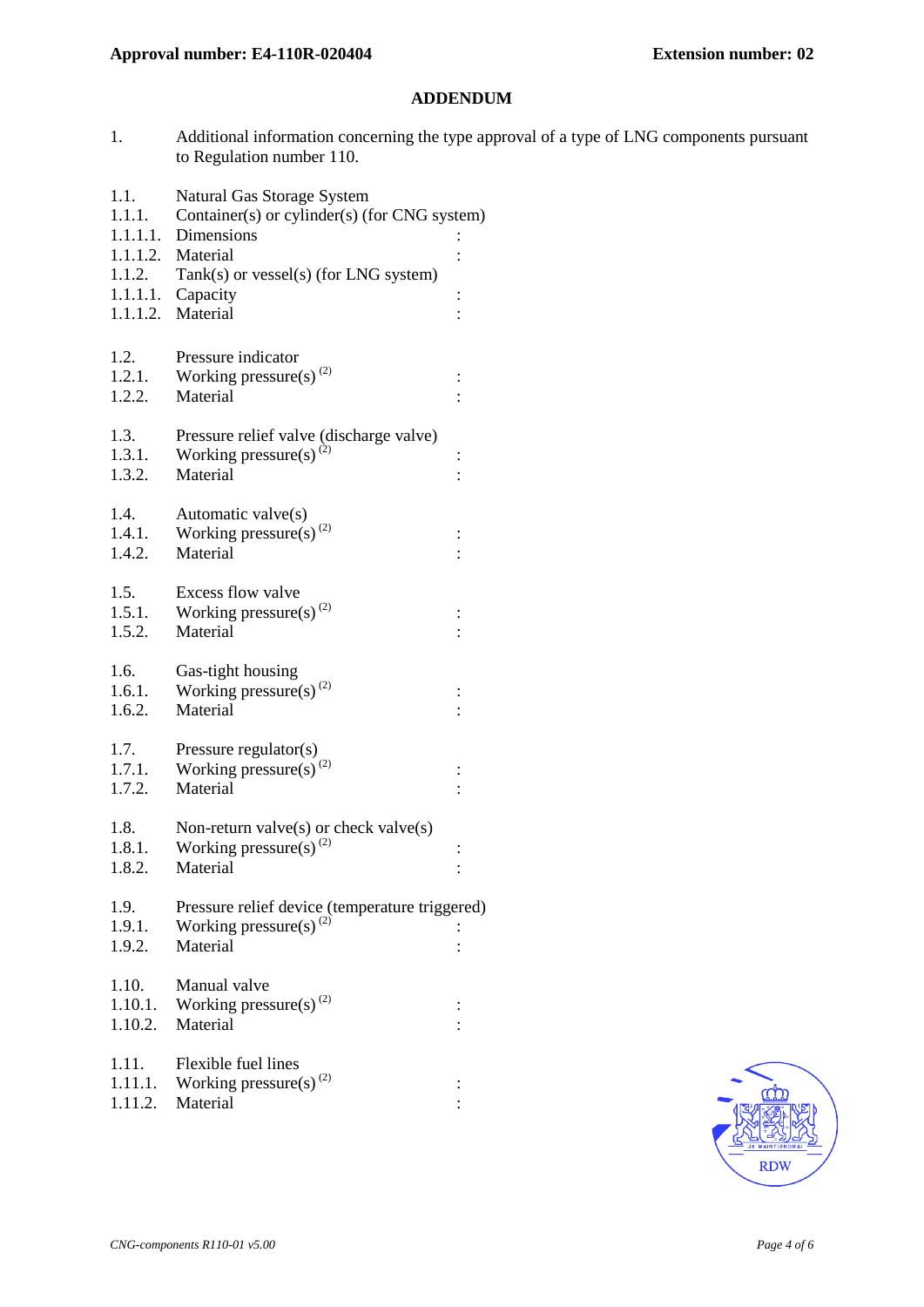#### **ADDENDUM**

- 1. Additional information concerning the type approval of a type of LNG components pursuant to Regulation number 110.
- 1.1. Natural Gas Storage System
- 1.1.1. Container(s) or cylinder(s) (for CNG system)
- 1.1.1.1. Dimensions :
- 1.1.1.2. Material : 1.1.2. Tank(s) or vessel(s) (for LNG system)
- 1.1.1.1. Capacity :
- 1.1.1.2. Material :
- 
- 1.2. Pressure indicator
- 1.2.1. Working pressure(s)<sup>[\(2\)](#page-5-0)</sup> : 1.2.2. Material :
- 1.3. Pressure relief valve (discharge valve)
- 1.3.1. Working pressure(s)<sup>(2)</sup> : 1.3.2. Material :
- 1.4. Automatic valve(s)
- 1.4.1. Working pressure(s)<sup>(2)</sup> : 1.4.2. Material :
- 1.5. Excess flow valve
- 1.5.1. Working pressure(s)<sup>(2)</sup> :
- 1.5.2. Material :
- 1.6. Gas-tight housing 1.6.1. Working pressure(s)<sup>(2)</sup> :
- 1.6.2. Material :
- 1.7. Pressure regulator(s) 1.7.1. Working pressure(s)<sup>(2)</sup> : 1.7.2. Material :
- 1.8. Non-return valve(s) or check valve(s) 1.8.1. Working pressure(s)<sup>(2)</sup> Working pressure(s)  $^{(2)}$  :
- 1.8.2. Material
- 1.9. Pressure relief device (temperature triggered) 1.9.1. Working pressure(s)<sup>(2)</sup> :
- 1.9.2. Material : 1.10. Manual valve 1.10.1. Working pressure(s)<sup>(2)</sup> : 1.10.2. Material :
- 1.11. Flexible fuel lines 1.11.1. Working pressure(s)<sup>(2)</sup> : 1.11.2. Material :

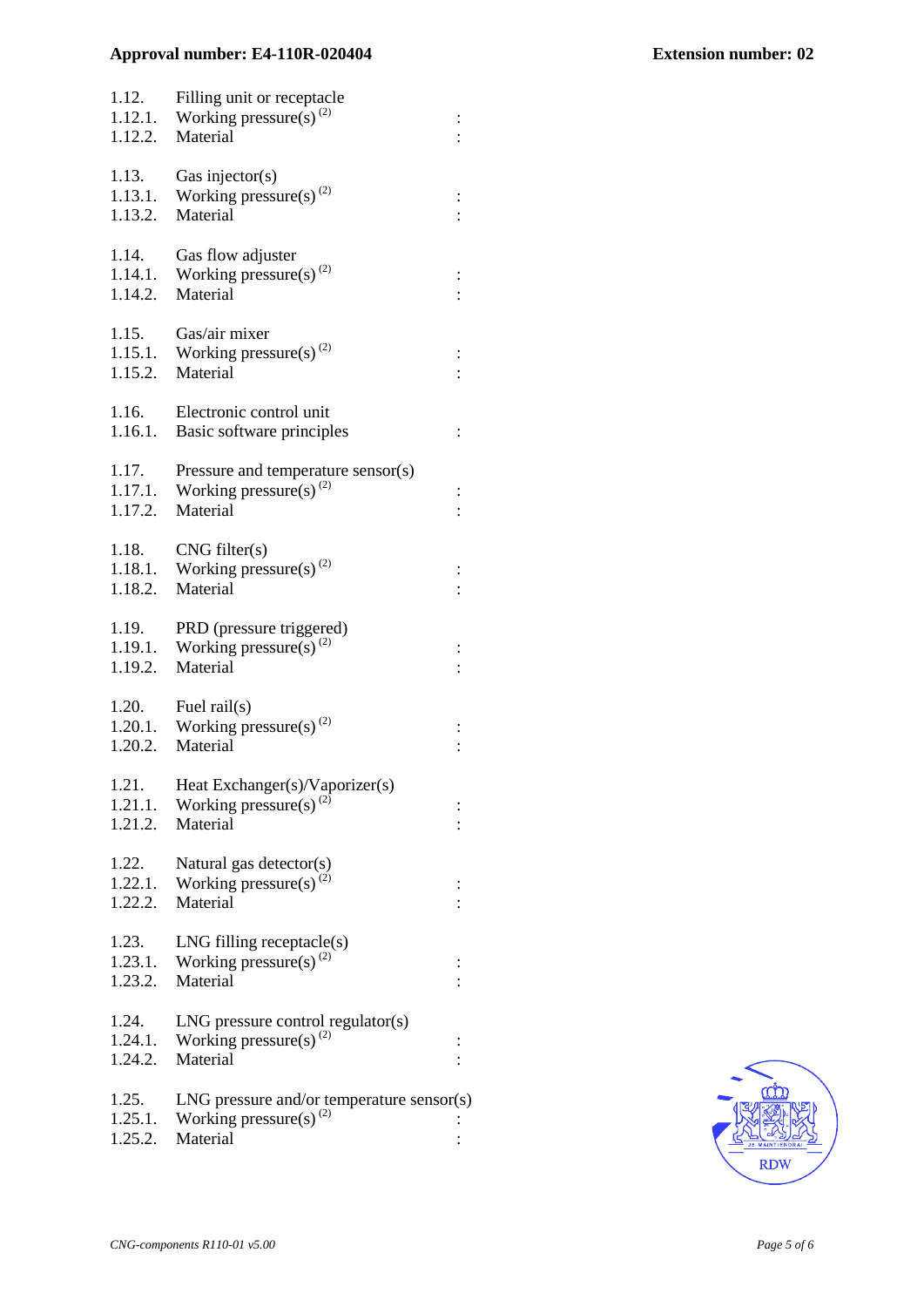| 1.12.<br>1.12.2.            | Filling unit or receptacle<br>1.12.1. Working pressure(s) <sup>(2)</sup><br>Material    |          |
|-----------------------------|-----------------------------------------------------------------------------------------|----------|
| 1.13.<br>1.13.1.<br>1.13.2. | Gas injector( $s$ )<br>Working pressure(s) <sup>(2)</sup><br>Material                   |          |
| 1.14.<br>1.14.1.<br>1.14.2. | Gas flow adjuster<br>Working pressure(s) $^{(2)}$<br>Material                           |          |
| 1.15.<br>1.15.2.            | Gas/air mixer<br>1.15.1. Working pressure(s) <sup>(2)</sup><br>Material                 | $\vdots$ |
| 1.16.<br>1.16.1.            | Electronic control unit<br>Basic software principles                                    | $\vdots$ |
| 1.17.<br>1.17.1.<br>1.17.2. | Pressure and temperature sensor(s)<br>Working pressure(s) <sup>(2)</sup><br>Material    |          |
| 1.18.<br>1.18.1.<br>1.18.2. | CNG filter(s)<br>Working pressure(s) <sup>(2)</sup><br>Material                         |          |
| 1.19.<br>1.19.1.<br>1.19.2. | PRD (pressure triggered)<br>Working pressure(s) <sup>(2)</sup><br>Material              |          |
| 1.20.<br>1.20.2.            | Fuel rail(s)<br>1.20.1. Working pressure(s) <sup>(2)</sup><br>Material                  |          |
| 1.21.<br>1.21.1.<br>1.21.2. | Heat Exchanger(s)/Vaporizer(s)<br>Working pressure(s) <sup>(2)</sup><br>Material        |          |
| 1.22.<br>1.22.1.<br>1.22.2. | Natural gas detector(s)<br>Working pressure(s) <sup>(2)</sup><br>Material               |          |
| 1.23.<br>1.23.1.<br>1.23.2. | $LNG$ filling receptacle $(s)$<br>Working pressure(s) <sup>(2)</sup><br>Material        |          |
| 1.24.<br>1.24.1.<br>1.24.2. | $LNG$ pressure control regulator(s)<br>Working pressure(s) <sup>(2)</sup><br>Material   |          |
| 1.25.<br>1.25.1.<br>1.25.2. | $LNG$ pressure and/or temperature sensor(s)<br>Working pressure(s) $^{(2)}$<br>Material |          |